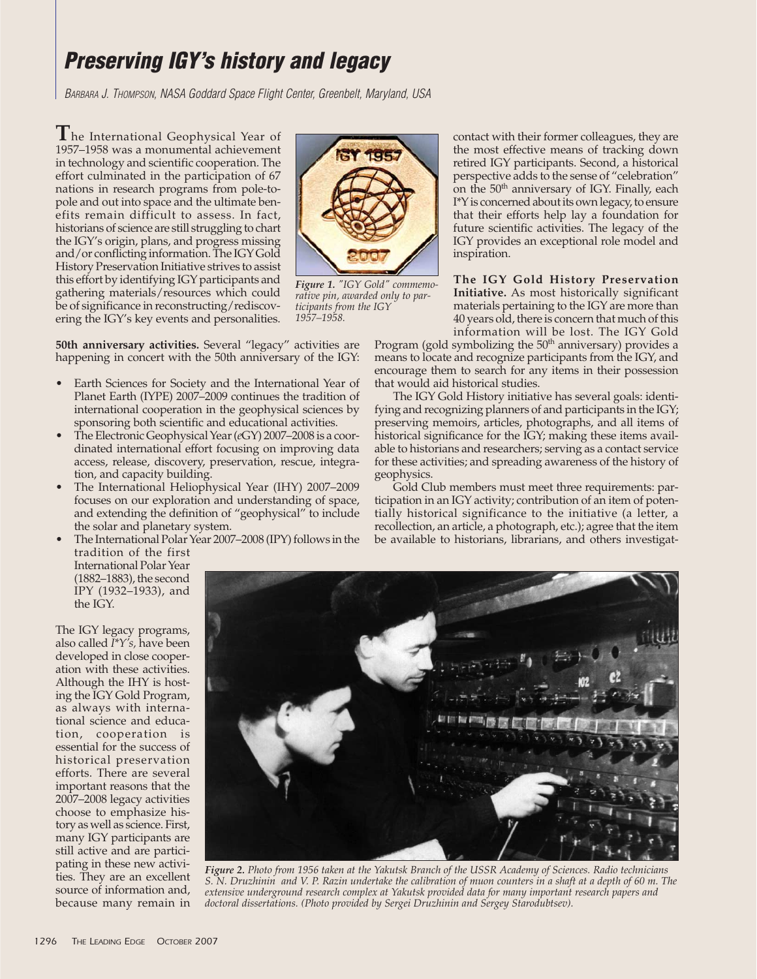## **Preserving IGY's history and legacy**

BARBARA J. THOMPSON, NASA Goddard Space Flight Center, Greenbelt, Maryland, USA

**T**he International Geophysical Year of 1957–1958 was a monumental achievement in technology and scientific cooperation. The effort culminated in the participation of 67 nations in research programs from pole-topole and out into space and the ultimate benefits remain difficult to assess. In fact, historians of science are still struggling to chart the IGY's origin, plans, and progress missing and/or conflicting information. The IGY Gold History Preservation Initiative strives to assist this effort by identifying IGY participants and gathering materials/resources which could be of significance in reconstructing/rediscovering the IGY's key events and personalities.



*Figure 1. "IGY Gold" commemorative pin, awarded only to participants from the IGY 1957–1958.*

**50th anniversary activities.** Several "legacy" activities are happening in concert with the 50th anniversary of the IGY:

- Earth Sciences for Society and the International Year of Planet Earth (IYPE) 2007–2009 continues the tradition of international cooperation in the geophysical sciences by sponsoring both scientific and educational activities.
- The Electronic Geophysical Year (*e*GY) 2007–2008 is a coordinated international effort focusing on improving data access, release, discovery, preservation, rescue, integration, and capacity building.
- The International Heliophysical Year (IHY) 2007–2009 focuses on our exploration and understanding of space, and extending the definition of "geophysical" to include the solar and planetary system.
- The International Polar Year 2007–2008 (IPY) follows in the tradition of the first

contact with their former colleagues, they are the most effective means of tracking down retired IGY participants. Second, a historical perspective adds to the sense of "celebration" on the 50<sup>th</sup> anniversary of IGY. Finally, each I\*Y is concerned about its own legacy, to ensure that their efforts help lay a foundation for future scientific activities. The legacy of the IGY provides an exceptional role model and inspiration.

## **The IGY Gold History Preservation Initiative.** As most historically significant materials pertaining to the IGY are more than 40 years old, there is concern that much of this information will be lost. The IGY Gold

Program (gold symbolizing the 50<sup>th</sup> anniversary) provides a means to locate and recognize participants from the IGY, and encourage them to search for any items in their possession that would aid historical studies.

The IGY Gold History initiative has several goals: identifying and recognizing planners of and participants in the IGY; preserving memoirs, articles, photographs, and all items of historical significance for the IGY; making these items available to historians and researchers; serving as a contact service for these activities; and spreading awareness of the history of geophysics.

Gold Club members must meet three requirements: participation in an IGY activity; contribution of an item of potentially historical significance to the initiative (a letter, a recollection, an article, a photograph, etc.); agree that the item be available to historians, librarians, and others investigat-

International Polar Year (1882–1883), the second IPY (1932–1933), and the IGY.

The IGY legacy programs, also called *I\*Y's,* have been developed in close cooperation with these activities. Although the IHY is hosting the IGY Gold Program, as always with international science and education, cooperation is essential for the success of historical preservation efforts. There are several important reasons that the 2007–2008 legacy activities choose to emphasize history as well as science. First, many IGY participants are still active and are participating in these new activities. They are an excellent source of information and, because many remain in



*Figure 2. Photo from 1956 taken at the Yakutsk Branch of the USSR Academy of Sciences. Radio technicians S. N. Druzhinin and V. P. Razin undertake the calibration of muon counters in a shaft at a depth of 60 m. The extensive underground research complex at Yakutsk provided data for many important research papers and doctoral dissertations. (Photo provided by Sergei Druzhinin and Sergey Starodubtsev).*